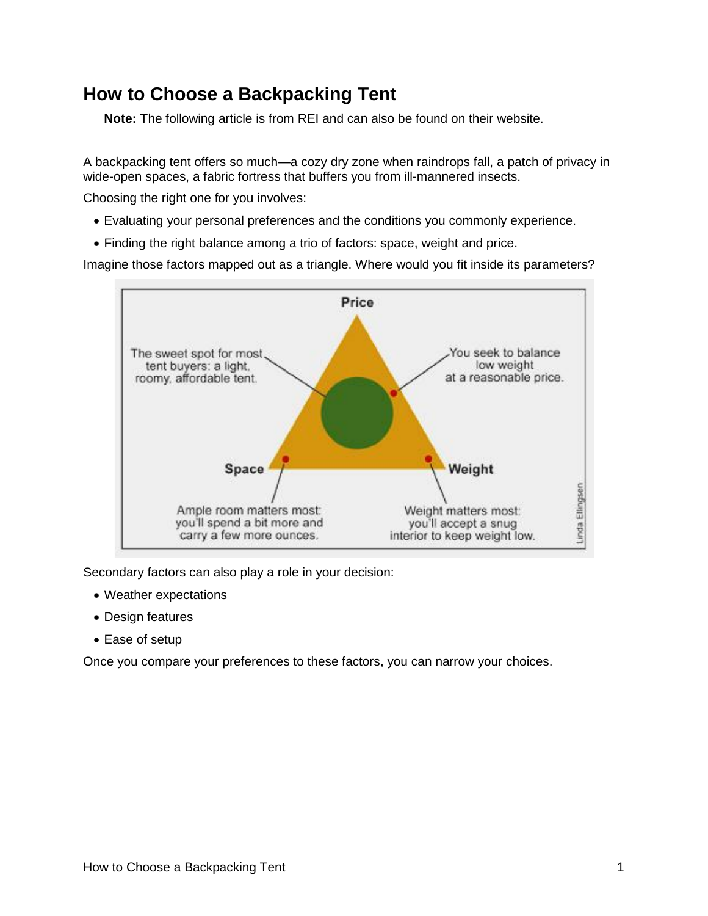### **How to Choose a Backpacking Tent**

**Note:** The following article is from REI and can also be found on their website.

A backpacking tent offers so much—a cozy dry zone when raindrops fall, a patch of privacy in wide-open spaces, a fabric fortress that buffers you from ill-mannered insects.

Choosing the right one for you involves:

- Evaluating your personal preferences and the conditions you commonly experience.
- Finding the right balance among a trio of factors: space, weight and price.

Imagine those factors mapped out as a triangle. Where would you fit inside its parameters?



Secondary factors can also play a role in your decision:

- Weather expectations
- Design features
- Ease of setup

Once you compare your preferences to these factors, you can narrow your choices.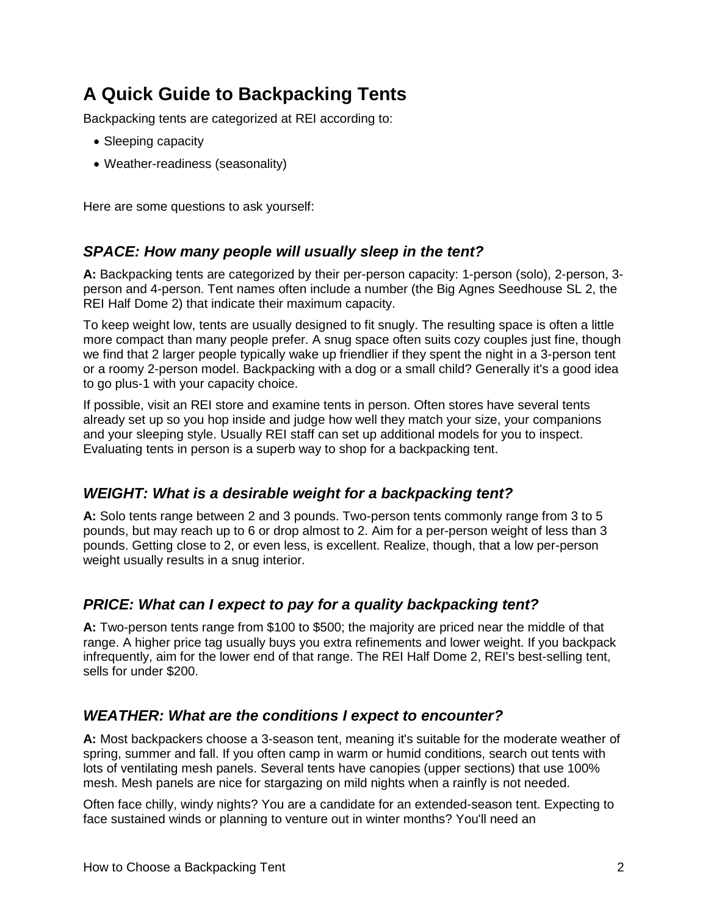## **A Quick Guide to Backpacking Tents**

Backpacking tents are categorized at REI according to:

- Sleeping capacity
- Weather-readiness (seasonality)

Here are some questions to ask yourself:

### *SPACE: How many people will usually sleep in the tent?*

**A:** Backpacking tents are categorized by their per-person capacity: 1-person (solo), 2-person, 3 person and 4-person. Tent names often include a number (the Big Agnes Seedhouse SL 2, the REI Half Dome 2) that indicate their maximum capacity.

To keep weight low, tents are usually designed to fit snugly. The resulting space is often a little more compact than many people prefer. A snug space often suits cozy couples just fine, though we find that 2 larger people typically wake up friendlier if they spent the night in a 3-person tent or a roomy 2-person model. Backpacking with a dog or a small child? Generally it's a good idea to go plus-1 with your capacity choice.

If possible, visit an REI store and examine tents in person. Often stores have several tents already set up so you hop inside and judge how well they match your size, your companions and your sleeping style. Usually REI staff can set up additional models for you to inspect. Evaluating tents in person is a superb way to shop for a backpacking tent.

### *WEIGHT: What is a desirable weight for a backpacking tent?*

**A:** Solo tents range between 2 and 3 pounds. Two-person tents commonly range from 3 to 5 pounds, but may reach up to 6 or drop almost to 2. Aim for a per-person weight of less than 3 pounds. Getting close to 2, or even less, is excellent. Realize, though, that a low per-person weight usually results in a snug interior.

### *PRICE: What can I expect to pay for a quality backpacking tent?*

**A:** Two-person tents range from \$100 to \$500; the majority are priced near the middle of that range. A higher price tag usually buys you extra refinements and lower weight. If you backpack infrequently, aim for the lower end of that range. The REI Half Dome 2, REI's best-selling tent, sells for under \$200.

### *WEATHER: What are the conditions I expect to encounter?*

**A:** Most backpackers choose a 3-season tent, meaning it's suitable for the moderate weather of spring, summer and fall. If you often camp in warm or humid conditions, search out tents with lots of ventilating mesh panels. Several tents have canopies (upper sections) that use 100% mesh. Mesh panels are nice for stargazing on mild nights when a rainfly is not needed.

Often face chilly, windy nights? You are a candidate for an extended-season tent. Expecting to face sustained winds or planning to venture out in winter months? You'll need an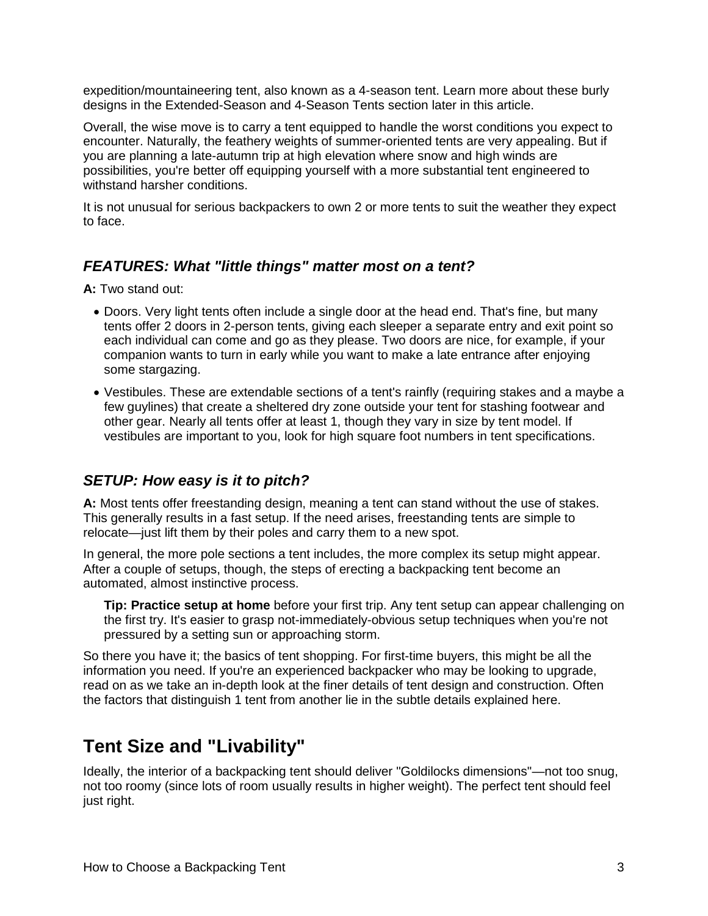expedition/mountaineering tent, also known as a 4-season tent. Learn more about these burly designs in the [Extended-Season and 4-Season Tents](http://www.rei.com/expertadvice/articles/backpacking-tent.html#four_season) section later in this article.

Overall, the wise move is to carry a tent equipped to handle the worst conditions you expect to encounter. Naturally, the feathery weights of summer-oriented tents are very appealing. But if you are planning a late-autumn trip at high elevation where snow and high winds are possibilities, you're better off equipping yourself with a more substantial tent engineered to withstand harsher conditions.

It is not unusual for serious backpackers to own 2 or more tents to suit the weather they expect to face.

#### *FEATURES: What "little things" matter most on a tent?*

**A:** Two stand out:

- Doors. Very light tents often include a single door at the head end. That's fine, but many tents offer 2 doors in 2-person tents, giving each sleeper a separate entry and exit point so each individual can come and go as they please. Two doors are nice, for example, if your companion wants to turn in early while you want to make a late entrance after enjoying some stargazing.
- Vestibules. These are extendable sections of a tent's rainfly (requiring stakes and a maybe a few guylines) that create a sheltered dry zone outside your tent for stashing footwear and other gear. Nearly all tents offer at least 1, though they vary in size by tent model. If vestibules are important to you, look for high square foot numbers in tent specifications.

### *SETUP: How easy is it to pitch?*

**A:** Most tents offer freestanding design, meaning a tent can stand without the use of stakes. This generally results in a fast setup. If the need arises, freestanding tents are simple to relocate—just lift them by their poles and carry them to a new spot.

In general, the more pole sections a tent includes, the more complex its setup might appear. After a couple of setups, though, the steps of erecting a backpacking tent become an automated, almost instinctive process.

**Tip: Practice setup at home** before your first trip. Any tent setup can appear challenging on the first try. It's easier to grasp not-immediately-obvious setup techniques when you're not pressured by a setting sun or approaching storm.

So there you have it; the basics of tent shopping. For first-time buyers, this might be all the information you need. If you're an experienced backpacker who may be looking to upgrade, read on as we take an in-depth look at the finer details of tent design and construction. Often the factors that distinguish 1 tent from another lie in the subtle details explained here.

### **Tent Size and "Livability"**

Ideally, the interior of a backpacking tent should deliver "Goldilocks dimensions"—not too snug, not too roomy (since lots of room usually results in higher weight). The perfect tent should feel just right.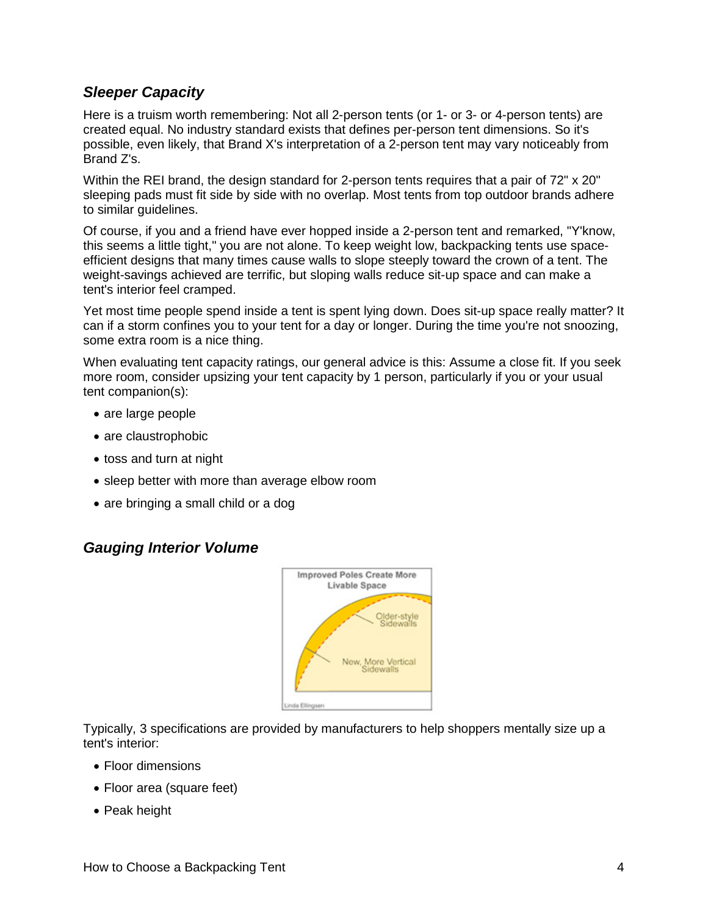### *Sleeper Capacity*

Here is a truism worth remembering: Not all 2-person tents (or 1- or 3- or 4-person tents) are created equal. No industry standard exists that defines per-person tent dimensions. So it's possible, even likely, that Brand X's interpretation of a 2-person tent may vary noticeably from Brand Z's.

Within the REI brand, the design standard for 2-person tents requires that a pair of 72" x 20" sleeping pads must fit side by side with no overlap. Most tents from top outdoor brands adhere to similar guidelines.

Of course, if you and a friend have ever hopped inside a 2-person tent and remarked, "Y'know, this seems a little tight," you are not alone. To keep weight low, backpacking tents use spaceefficient designs that many times cause walls to slope steeply toward the crown of a tent. The weight-savings achieved are terrific, but sloping walls reduce sit-up space and can make a tent's interior feel cramped.

Yet most time people spend inside a tent is spent lying down. Does sit-up space really matter? It can if a storm confines you to your tent for a day or longer. During the time you're not snoozing, some extra room is a nice thing.

When evaluating tent capacity ratings, our general advice is this: Assume a close fit. If you seek more room, consider upsizing your tent capacity by 1 person, particularly if you or your usual tent companion(s):

- are large people
- are claustrophobic
- toss and turn at night
- sleep better with more than average elbow room
- are bringing a small child or a dog

### *Gauging Interior Volume*



Typically, 3 specifications are provided by manufacturers to help shoppers mentally size up a tent's interior:

- Floor dimensions
- Floor area (square feet)
- Peak height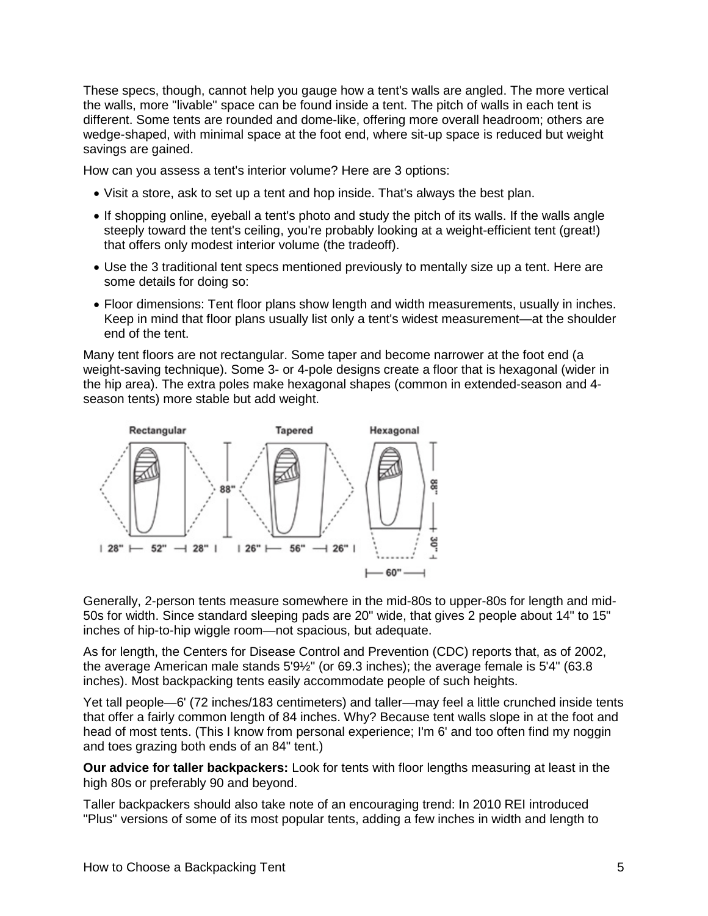These specs, though, cannot help you gauge how a tent's walls are angled. The more vertical the walls, more "livable" space can be found inside a tent. The pitch of walls in each tent is different. Some tents are rounded and dome-like, offering more overall headroom; others are wedge-shaped, with minimal space at the foot end, where sit-up space is reduced but weight savings are gained.

How can you assess a tent's interior volume? Here are 3 options:

- Visit a store, ask to set up a tent and hop inside. That's always the best plan.
- If shopping online, eyeball a tent's photo and study the pitch of its walls. If the walls angle steeply toward the tent's ceiling, you're probably looking at a weight-efficient tent (great!) that offers only modest interior volume (the tradeoff).
- Use the 3 traditional tent specs mentioned previously to mentally size up a tent. Here are some details for doing so:
- Floor dimensions: Tent floor plans show length and width measurements, usually in inches. Keep in mind that floor plans usually list only a tent's widest measurement—at the shoulder end of the tent.

Many tent floors are not rectangular. Some taper and become narrower at the foot end (a weight-saving technique). Some 3- or 4-pole designs create a floor that is hexagonal (wider in the hip area). The extra poles make hexagonal shapes (common in extended-season and 4 season tents) more stable but add weight.



Generally, 2-person tents measure somewhere in the mid-80s to upper-80s for length and mid-50s for width. Since standard sleeping pads are 20" wide, that gives 2 people about 14" to 15" inches of hip-to-hip wiggle room—not spacious, but adequate.

As for length, the Centers for Disease Control and Prevention (CDC) reports that, as of 2002, the average American male stands 5'9½" (or 69.3 inches); the average female is 5'4" (63.8 inches). Most backpacking tents easily accommodate people of such heights.

Yet tall people—6' (72 inches/183 centimeters) and taller—may feel a little crunched inside tents that offer a fairly common length of 84 inches. Why? Because tent walls slope in at the foot and head of most tents. (This I know from personal experience; I'm 6' and too often find my noggin and toes grazing both ends of an 84" tent.)

**Our advice for taller backpackers:** Look for tents with floor lengths measuring at least in the high 80s or preferably 90 and beyond.

Taller backpackers should also take note of an encouraging trend: In 2010 REI introduced "Plus" versions of some of its most popular tents, adding a few inches in width and length to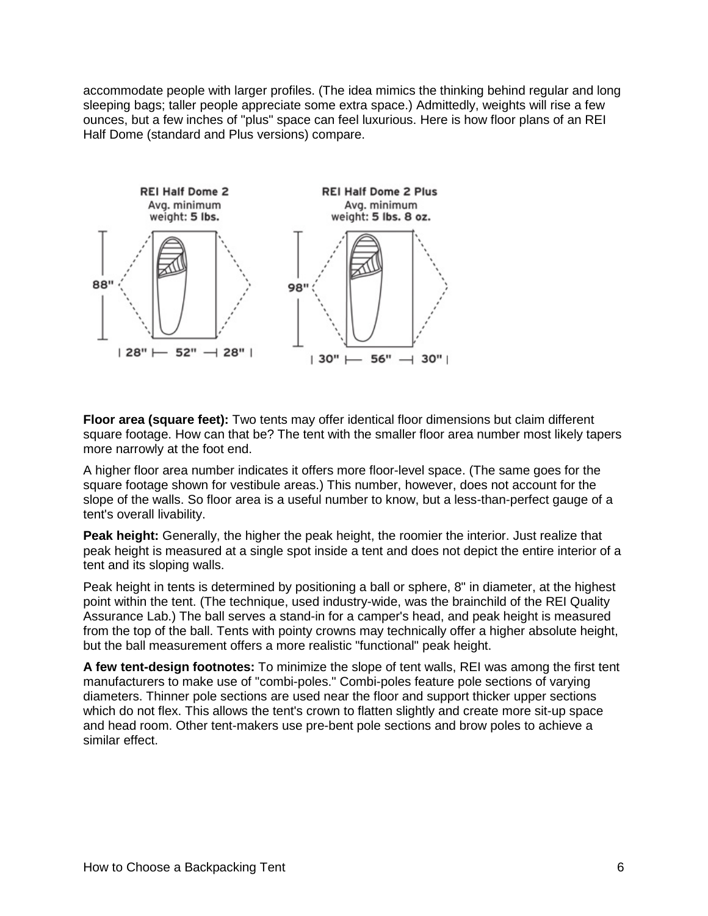accommodate people with larger profiles. (The idea mimics the thinking behind regular and long sleeping bags; taller people appreciate some extra space.) Admittedly, weights will rise a few ounces, but a few inches of "plus" space can feel luxurious. Here is how floor plans of an REI Half Dome (standard and Plus versions) compare.



**Floor area (square feet):** Two tents may offer identical floor dimensions but claim different square footage. How can that be? The tent with the smaller floor area number most likely tapers more narrowly at the foot end.

A higher floor area number indicates it offers more floor-level space. (The same goes for the square footage shown for vestibule areas.) This number, however, does not account for the slope of the walls. So floor area is a useful number to know, but a less-than-perfect gauge of a tent's overall livability.

**Peak height:** Generally, the higher the peak height, the roomier the interior. Just realize that peak height is measured at a single spot inside a tent and does not depict the entire interior of a tent and its sloping walls.

Peak height in tents is determined by positioning a ball or sphere, 8" in diameter, at the highest point within the tent. (The technique, used industry-wide, was the brainchild of the REI Quality Assurance Lab.) The ball serves a stand-in for a camper's head, and peak height is measured from the top of the ball. Tents with pointy crowns may technically offer a higher absolute height, but the ball measurement offers a more realistic "functional" peak height.

**A few tent-design footnotes:** To minimize the slope of tent walls, REI was among the first tent manufacturers to make use of "combi-poles." Combi-poles feature pole sections of varying diameters. Thinner pole sections are used near the floor and support thicker upper sections which do not flex. This allows the tent's crown to flatten slightly and create more sit-up space and head room. Other tent-makers use pre-bent pole sections and brow poles to achieve a similar effect.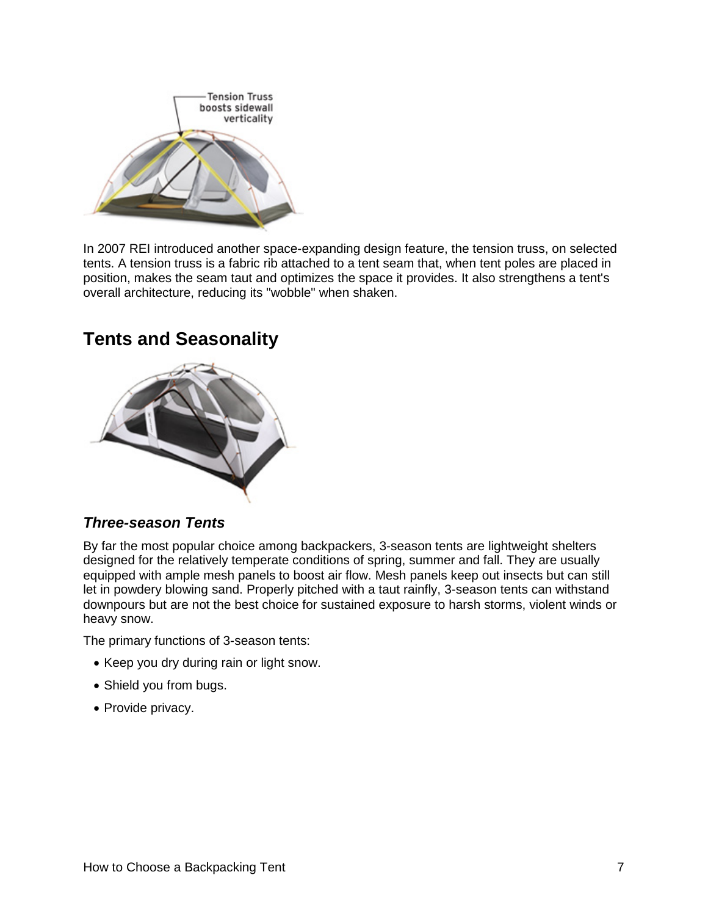

In 2007 REI introduced another space-expanding design feature, the tension truss, on selected tents. A tension truss is a fabric rib attached to a tent seam that, when tent poles are placed in position, makes the seam taut and optimizes the space it provides. It also strengthens a tent's overall architecture, reducing its "wobble" when shaken.

## **Tents and Seasonality**



### *Three-season Tents*

By far the most popular choice among backpackers, 3-season tents are lightweight shelters designed for the relatively temperate conditions of spring, summer and fall. They are usually equipped with ample mesh panels to boost air flow. Mesh panels keep out insects but can still let in powdery blowing sand. Properly pitched with a taut rainfly, 3-season tents can withstand downpours but are not the best choice for sustained exposure to harsh storms, violent winds or heavy snow.

The primary functions of 3-season tents:

- Keep you dry during rain or light snow.
- Shield you from bugs.
- Provide privacy.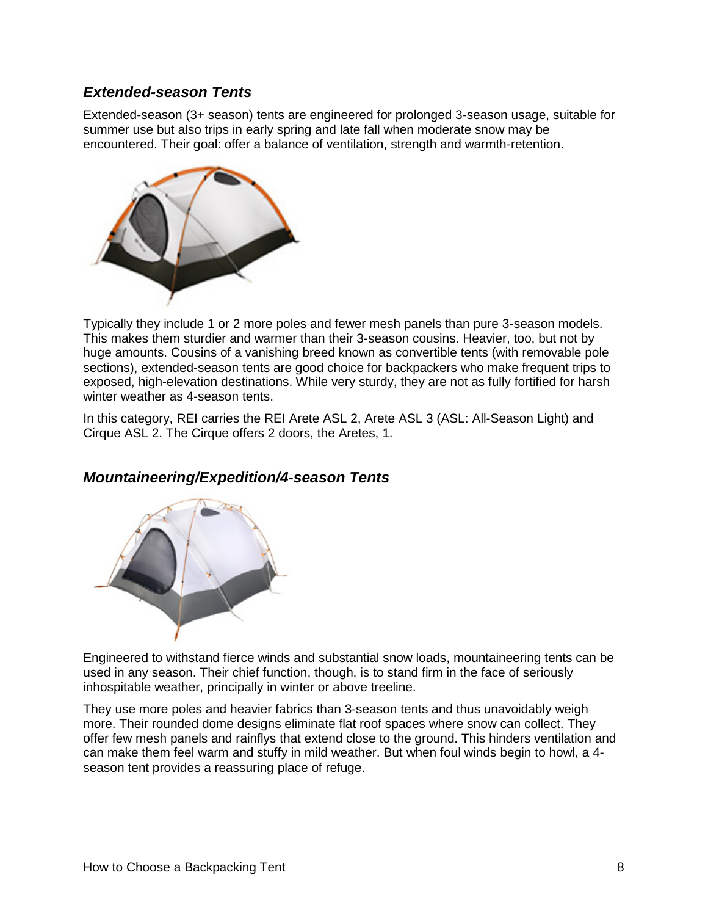### *Extended-season Tents*

Extended-season (3+ season) tents are engineered for prolonged 3-season usage, suitable for summer use but also trips in early spring and late fall when moderate snow may be encountered. Their goal: offer a balance of ventilation, strength and warmth-retention.



Typically they include 1 or 2 more poles and fewer mesh panels than pure 3-season models. This makes them sturdier and warmer than their 3-season cousins. Heavier, too, but not by huge amounts. Cousins of a vanishing breed known as convertible tents (with removable pole sections), extended-season tents are good choice for backpackers who make frequent trips to exposed, high-elevation destinations. While very sturdy, they are not as fully fortified for harsh winter weather as 4-season tents.

In this category, REI carries the [REI Arete ASL 2,](http://www.rei.com/product/794283) [Arete ASL](http://www.rei.com/product/794285) 3 (ASL: All-Season Light) and [Cirque ASL 2.](http://www.rei.com/product/794287) The Cirque offers 2 doors, the Aretes, 1.



### *Mountaineering/Expedition/4-season Tents*

Engineered to withstand fierce winds and substantial snow loads, mountaineering tents can be used in any season. Their chief function, though, is to stand firm in the face of seriously inhospitable weather, principally in winter or above treeline.

They use more poles and heavier fabrics than 3-season tents and thus unavoidably weigh more. Their rounded dome designs eliminate flat roof spaces where snow can collect. They offer few mesh panels and rainflys that extend close to the ground. This hinders ventilation and can make them feel warm and stuffy in mild weather. But when foul winds begin to howl, a 4 season tent provides a reassuring place of refuge.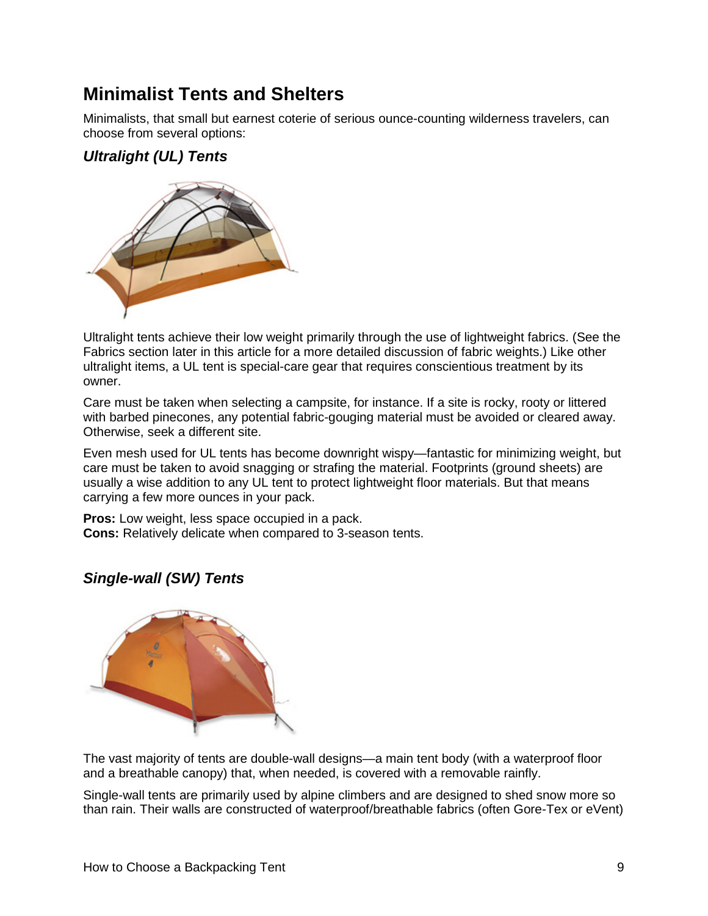## **Minimalist Tents and Shelters**

Minimalists, that small but earnest coterie of serious ounce-counting wilderness travelers, can choose from several options:

### *Ultralight (UL) Tents*



Ultralight tents achieve their low weight primarily through the use of lightweight fabrics. (See the [Fabrics](http://www.rei.com/expertadvice/articles/backpacking-tent.html#fabrics) section later in this article for a more detailed discussion of fabric weights.) Like other ultralight items, a UL tent is special-care gear that requires conscientious treatment by its owner.

Care must be taken when selecting a campsite, for instance. If a site is rocky, rooty or littered with barbed pinecones, any potential fabric-gouging material must be avoided or cleared away. Otherwise, seek a different site.

Even mesh used for UL tents has become downright wispy—fantastic for minimizing weight, but care must be taken to avoid snagging or strafing the material. Footprints (ground sheets) are usually a wise addition to any UL tent to protect lightweight floor materials. But that means carrying a few more ounces in your pack.

**Pros:** Low weight, less space occupied in a pack. **Cons:** Relatively delicate when compared to 3-season tents.

### *Single-wall (SW) Tents*



The vast majority of tents are double-wall designs—a main tent body (with a waterproof floor and a breathable canopy) that, when needed, is covered with a removable rainfly.

Single-wall tents are primarily used by alpine climbers and are designed to shed snow more so than rain. Their walls are constructed of waterproof/breathable fabrics (often Gore-Tex or eVent)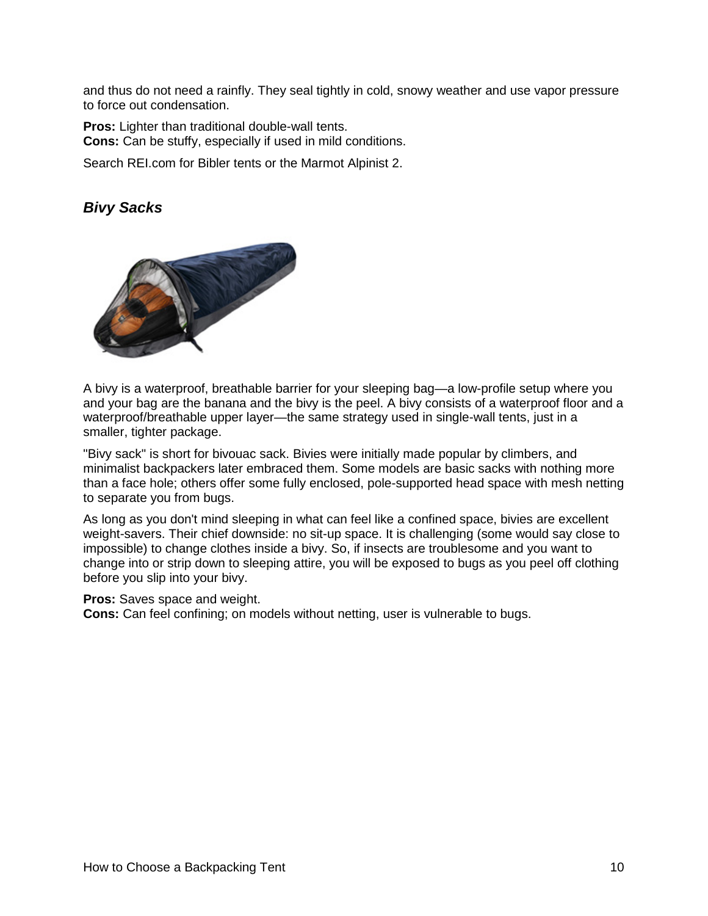and thus do not need a rainfly. They seal tightly in cold, snowy weather and use vapor pressure to force out condensation.

**Pros:** Lighter than traditional double-wall tents. **Cons:** Can be stuffy, especially if used in mild conditions.

Search REI.com for Bibler tents or the [Marmot Alpinist 2.](http://www.rei.com/product/747660)

### *Bivy Sacks*



A bivy is a waterproof, breathable barrier for your sleeping bag—a low-profile setup where you and your bag are the banana and the bivy is the peel. A bivy consists of a waterproof floor and a waterproof/breathable upper layer—the same strategy used in single-wall tents, just in a smaller, tighter package.

"Bivy sack" is short for bivouac sack. Bivies were initially made popular by climbers, and minimalist backpackers later embraced them. Some models are basic sacks with nothing more than a face hole; others offer some fully enclosed, pole-supported head space with mesh netting to separate you from bugs.

As long as you don't mind sleeping in what can feel like a confined space, bivies are excellent weight-savers. Their chief downside: no sit-up space. It is challenging (some would say close to impossible) to change clothes inside a bivy. So, if insects are troublesome and you want to change into or strip down to sleeping attire, you will be exposed to bugs as you peel off clothing before you slip into your bivy.

#### **Pros:** Saves space and weight.

**Cons:** Can feel confining; on models without netting, user is vulnerable to bugs.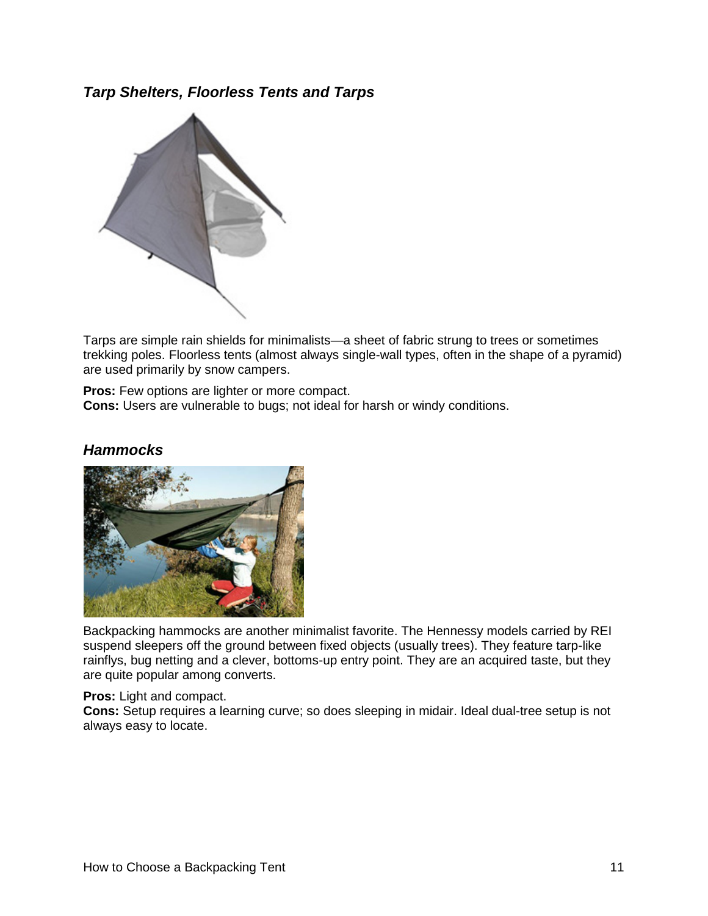*Tarp Shelters, Floorless Tents and Tarps*



Tarps are simple rain shields for minimalists—a sheet of fabric strung to trees or sometimes trekking poles. Floorless tents (almost always single-wall types, often in the shape of a pyramid) are used primarily by snow campers.

**Pros:** Few options are lighter or more compact. **Cons:** Users are vulnerable to bugs; not ideal for harsh or windy conditions.



#### *Hammocks*

Backpacking hammocks are another minimalist favorite. The Hennessy models carried by REI suspend sleepers off the ground between fixed objects (usually trees). They feature tarp-like rainflys, bug netting and a clever, bottoms-up entry point. They are an acquired taste, but they are quite popular among converts.

**Pros:** Light and compact.

**Cons:** Setup requires a learning curve; so does sleeping in midair. Ideal dual-tree setup is not always easy to locate.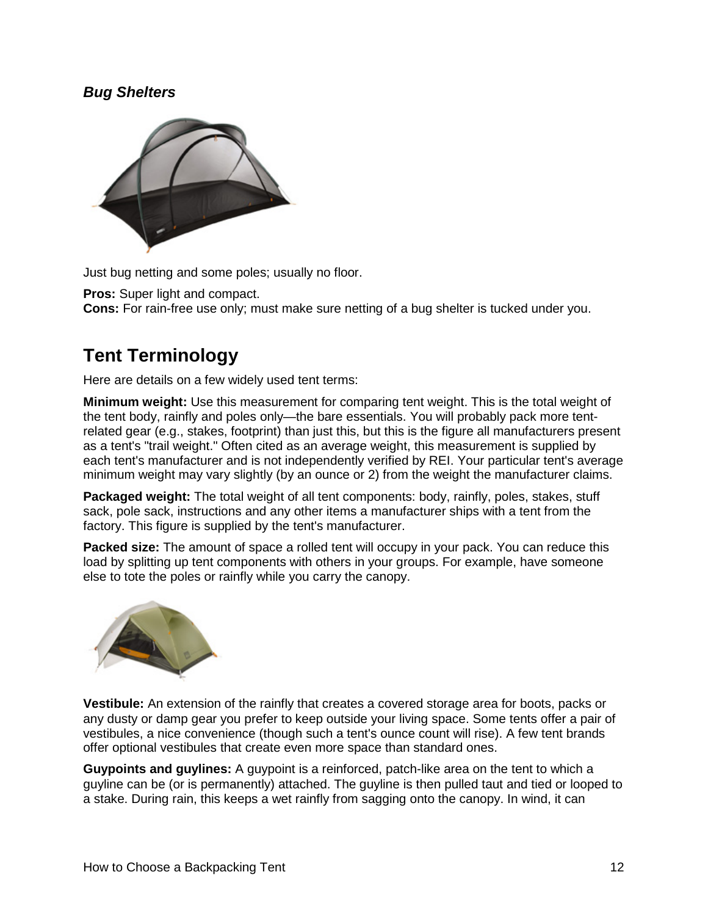### *Bug Shelters*



Just bug netting and some poles; usually no floor.

**Pros:** Super light and compact.

**Cons:** For rain-free use only; must make sure netting of a bug shelter is tucked under you.

## **Tent Terminology**

Here are details on a few widely used tent terms:

**Minimum weight:** Use this measurement for comparing tent weight. This is the total weight of the tent body, rainfly and poles only—the bare essentials. You will probably pack more tentrelated gear (e.g., stakes, footprint) than just this, but this is the figure all manufacturers present as a tent's "trail weight." Often cited as an average weight, this measurement is supplied by each tent's manufacturer and is not independently verified by REI. Your particular tent's average minimum weight may vary slightly (by an ounce or 2) from the weight the manufacturer claims.

**Packaged weight:** The total weight of all tent components: body, rainfly, poles, stakes, stuff sack, pole sack, instructions and any other items a manufacturer ships with a tent from the factory. This figure is supplied by the tent's manufacturer.

Packed size: The amount of space a rolled tent will occupy in your pack. You can reduce this load by splitting up tent components with others in your groups. For example, have someone else to tote the poles or rainfly while you carry the canopy.



**Vestibule:** An extension of the rainfly that creates a covered storage area for boots, packs or any dusty or damp gear you prefer to keep outside your living space. Some tents offer a pair of vestibules, a nice convenience (though such a tent's ounce count will rise). A few tent brands offer optional vestibules that create even more space than standard ones.

**Guypoints and guylines:** A guypoint is a reinforced, patch-like area on the tent to which a guyline can be (or is permanently) attached. The guyline is then pulled taut and tied or looped to a stake. During rain, this keeps a wet rainfly from sagging onto the canopy. In wind, it can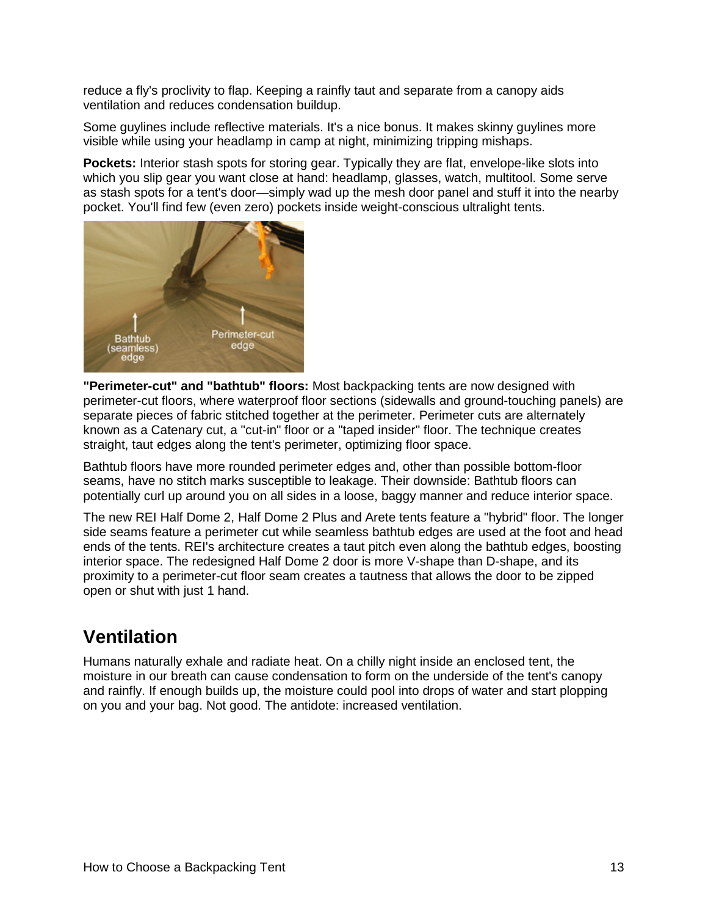reduce a fly's proclivity to flap. Keeping a rainfly taut and separate from a canopy aids ventilation and reduces condensation buildup.

Some guylines include reflective materials. It's a nice bonus. It makes skinny guylines more visible while using your headlamp in camp at night, minimizing tripping mishaps.

**Pockets:** Interior stash spots for storing gear. Typically they are flat, envelope-like slots into which you slip gear you want close at hand: headlamp, glasses, watch, multitool. Some serve as stash spots for a tent's door—simply wad up the mesh door panel and stuff it into the nearby pocket. You'll find few (even zero) pockets inside weight-conscious ultralight tents.



**"Perimeter-cut" and "bathtub" floors:** Most backpacking tents are now designed with perimeter-cut floors, where waterproof floor sections (sidewalls and ground-touching panels) are separate pieces of fabric stitched together at the perimeter. Perimeter cuts are alternately known as a Catenary cut, a "cut-in" floor or a "taped insider" floor. The technique creates straight, taut edges along the tent's perimeter, optimizing floor space.

Bathtub floors have more rounded perimeter edges and, other than possible bottom-floor seams, have no stitch marks susceptible to leakage. Their downside: Bathtub floors can potentially curl up around you on all sides in a loose, baggy manner and reduce interior space.

The new REI Half Dome 2, Half Dome 2 Plus and Arete tents feature a "hybrid" floor. The longer side seams feature a perimeter cut while seamless bathtub edges are used at the foot and head ends of the tents. REI's architecture creates a taut pitch even along the bathtub edges, boosting interior space. The redesigned Half Dome 2 door is more V-shape than D-shape, and its proximity to a perimeter-cut floor seam creates a tautness that allows the door to be zipped open or shut with just 1 hand.

## **Ventilation**

Humans naturally exhale and radiate heat. On a chilly night inside an enclosed tent, the moisture in our breath can cause condensation to form on the underside of the tent's canopy and rainfly. If enough builds up, the moisture could pool into drops of water and start plopping on you and your bag. Not good. The antidote: increased ventilation.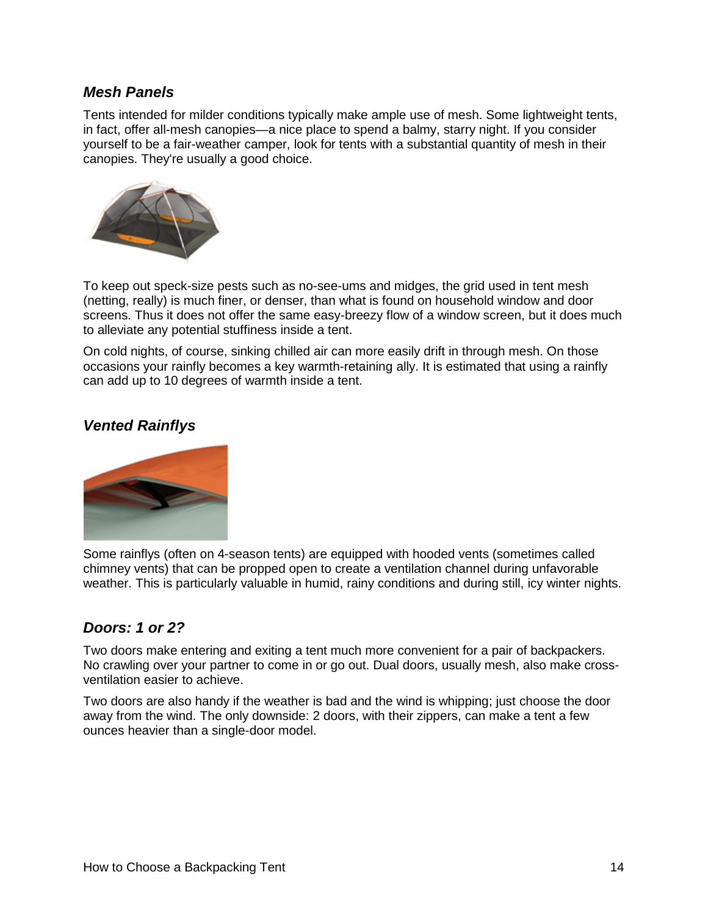#### *Mesh Panels*

Tents intended for milder conditions typically make ample use of mesh. Some lightweight tents, in fact, offer all-mesh canopies—a nice place to spend a balmy, starry night. If you consider yourself to be a fair-weather camper, look for tents with a substantial quantity of mesh in their canopies. They're usually a good choice.



To keep out speck-size pests such as no-see-ums and midges, the grid used in tent mesh (netting, really) is much finer, or denser, than what is found on household window and door screens. Thus it does not offer the same easy-breezy flow of a window screen, but it does much to alleviate any potential stuffiness inside a tent.

On cold nights, of course, sinking chilled air can more easily drift in through mesh. On those occasions your rainfly becomes a key warmth-retaining ally. It is estimated that using a rainfly can add up to 10 degrees of warmth inside a tent.

### *Vented Rainflys*



Some rainflys (often on 4-season tents) are equipped with hooded vents (sometimes called chimney vents) that can be propped open to create a ventilation channel during unfavorable weather. This is particularly valuable in humid, rainy conditions and during still, icy winter nights.

### *Doors: 1 or 2?*

Two doors make entering and exiting a tent much more convenient for a pair of backpackers. No crawling over your partner to come in or go out. Dual doors, usually mesh, also make crossventilation easier to achieve.

Two doors are also handy if the weather is bad and the wind is whipping; just choose the door away from the wind. The only downside: 2 doors, with their zippers, can make a tent a few ounces heavier than a single-door model.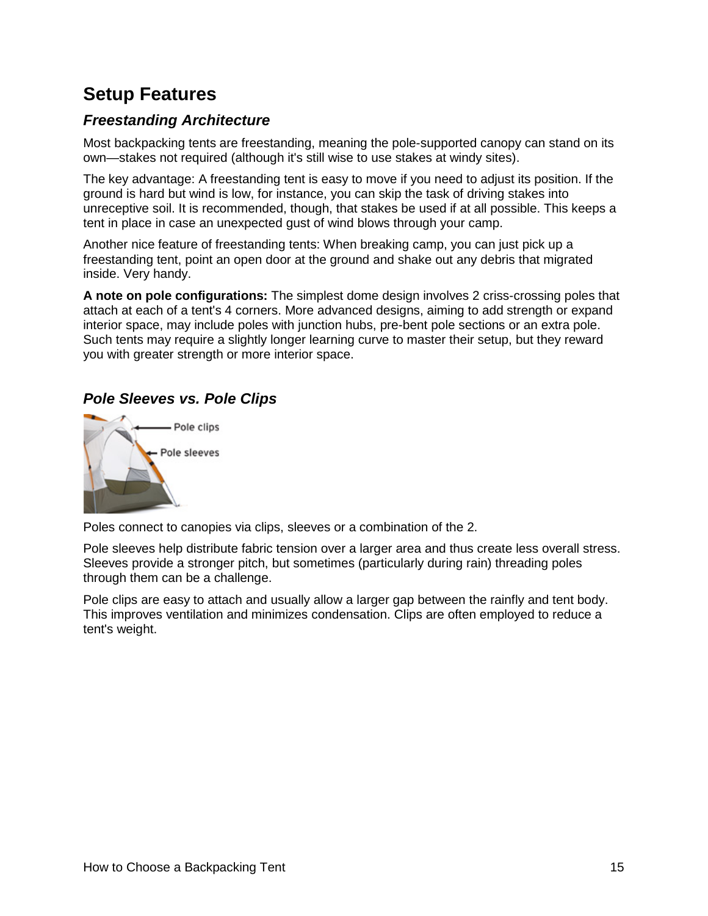## **Setup Features**

### *Freestanding Architecture*

Most backpacking tents are freestanding, meaning the pole-supported canopy can stand on its own—stakes not required (although it's still wise to use stakes at windy sites).

The key advantage: A freestanding tent is easy to move if you need to adjust its position. If the ground is hard but wind is low, for instance, you can skip the task of driving stakes into unreceptive soil. It is recommended, though, that stakes be used if at all possible. This keeps a tent in place in case an unexpected gust of wind blows through your camp.

Another nice feature of freestanding tents: When breaking camp, you can just pick up a freestanding tent, point an open door at the ground and shake out any debris that migrated inside. Very handy.

**A note on pole configurations:** The simplest dome design involves 2 criss-crossing poles that attach at each of a tent's 4 corners. More advanced designs, aiming to add strength or expand interior space, may include poles with junction hubs, pre-bent pole sections or an extra pole. Such tents may require a slightly longer learning curve to master their setup, but they reward you with greater strength or more interior space.

### *Pole Sleeves vs. Pole Clips*



Poles connect to canopies via clips, sleeves or a combination of the 2.

Pole sleeves help distribute fabric tension over a larger area and thus create less overall stress. Sleeves provide a stronger pitch, but sometimes (particularly during rain) threading poles through them can be a challenge.

Pole clips are easy to attach and usually allow a larger gap between the rainfly and tent body. This improves ventilation and minimizes condensation. Clips are often employed to reduce a tent's weight.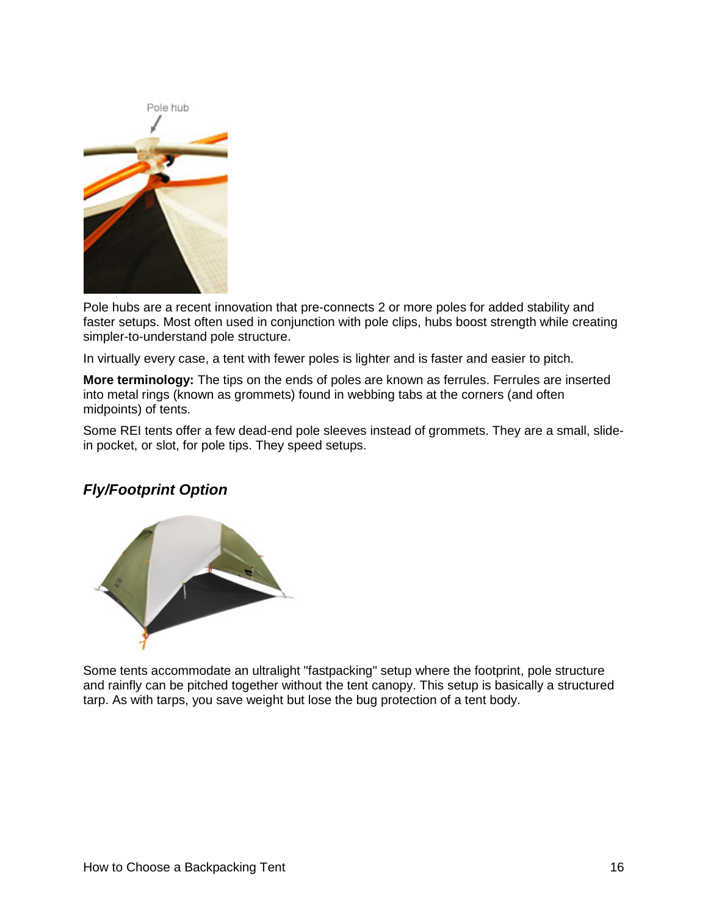

Pole hubs are a recent innovation that pre-connects 2 or more poles for added stability and faster setups. Most often used in conjunction with pole clips, hubs boost strength while creating simpler-to-understand pole structure.

In virtually every case, a tent with fewer poles is lighter and is faster and easier to pitch.

**More terminology:** The tips on the ends of poles are known as ferrules. Ferrules are inserted into metal rings (known as grommets) found in webbing tabs at the corners (and often midpoints) of tents.

Some REI tents offer a few dead-end pole sleeves instead of grommets. They are a small, slidein pocket, or slot, for pole tips. They speed setups.

### *Fly/Footprint Option*



Some tents accommodate an ultralight "fastpacking" setup where the footprint, pole structure and rainfly can be pitched together without the tent canopy. This setup is basically a structured tarp. As with tarps, you save weight but lose the bug protection of a tent body.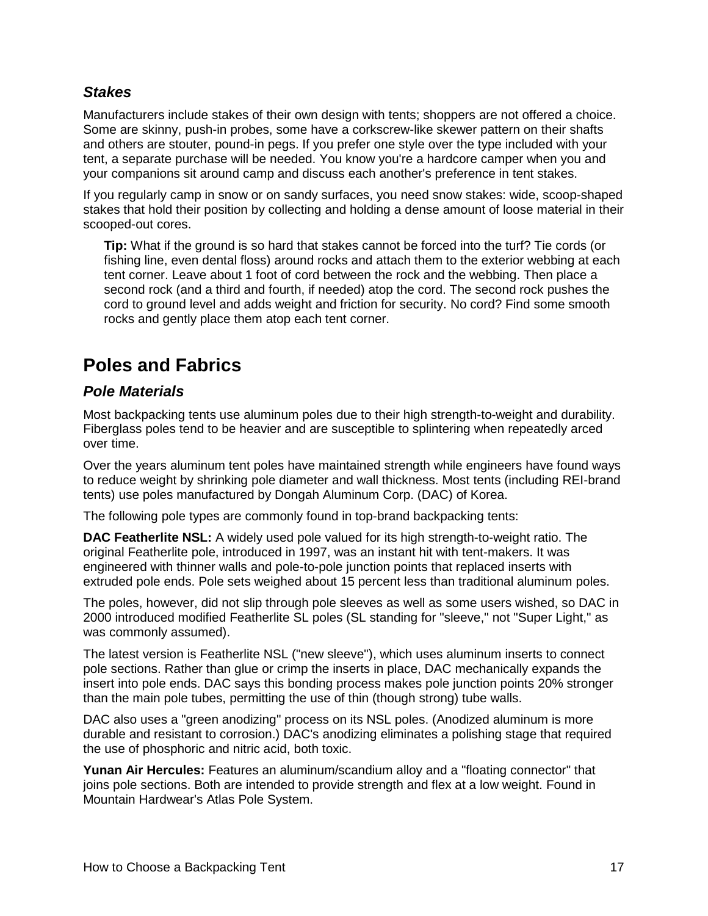#### *Stakes*

Manufacturers include stakes of their own design with tents; shoppers are not offered a choice. Some are skinny, push-in probes, some have a corkscrew-like skewer pattern on their shafts and others are stouter, pound-in pegs. If you prefer one style over the type included with your tent, a separate purchase will be needed. You know you're a hardcore camper when you and your companions sit around camp and discuss each another's preference in tent stakes.

If you regularly camp in snow or on sandy surfaces, you need snow stakes: wide, scoop-shaped stakes that hold their position by collecting and holding a dense amount of loose material in their scooped-out cores.

**Tip:** What if the ground is so hard that stakes cannot be forced into the turf? Tie cords (or fishing line, even dental floss) around rocks and attach them to the exterior webbing at each tent corner. Leave about 1 foot of cord between the rock and the webbing. Then place a second rock (and a third and fourth, if needed) atop the cord. The second rock pushes the cord to ground level and adds weight and friction for security. No cord? Find some smooth rocks and gently place them atop each tent corner.

## **Poles and Fabrics**

#### *Pole Materials*

Most backpacking tents use aluminum poles due to their high strength-to-weight and durability. Fiberglass poles tend to be heavier and are susceptible to splintering when repeatedly arced over time.

Over the years aluminum tent poles have maintained strength while engineers have found ways to reduce weight by shrinking pole diameter and wall thickness. Most tents (including REI-brand tents) use poles manufactured by Dongah Aluminum Corp. (DAC) of Korea.

The following pole types are commonly found in top-brand backpacking tents:

**DAC Featherlite NSL:** A widely used pole valued for its high strength-to-weight ratio. The original Featherlite pole, introduced in 1997, was an instant hit with tent-makers. It was engineered with thinner walls and pole-to-pole junction points that replaced inserts with extruded pole ends. Pole sets weighed about 15 percent less than traditional aluminum poles.

The poles, however, did not slip through pole sleeves as well as some users wished, so DAC in 2000 introduced modified Featherlite SL poles (SL standing for "sleeve," not "Super Light," as was commonly assumed).

The latest version is Featherlite NSL ("new sleeve"), which uses aluminum inserts to connect pole sections. Rather than glue or crimp the inserts in place, DAC mechanically expands the insert into pole ends. DAC says this bonding process makes pole junction points 20% stronger than the main pole tubes, permitting the use of thin (though strong) tube walls.

DAC also uses a "green anodizing" process on its NSL poles. (Anodized aluminum is more durable and resistant to corrosion.) DAC's anodizing eliminates a polishing stage that required the use of phosphoric and nitric acid, both toxic.

**Yunan Air Hercules:** Features an aluminum/scandium alloy and a "floating connector" that joins pole sections. Both are intended to provide strength and flex at a low weight. Found in Mountain Hardwear's Atlas Pole System.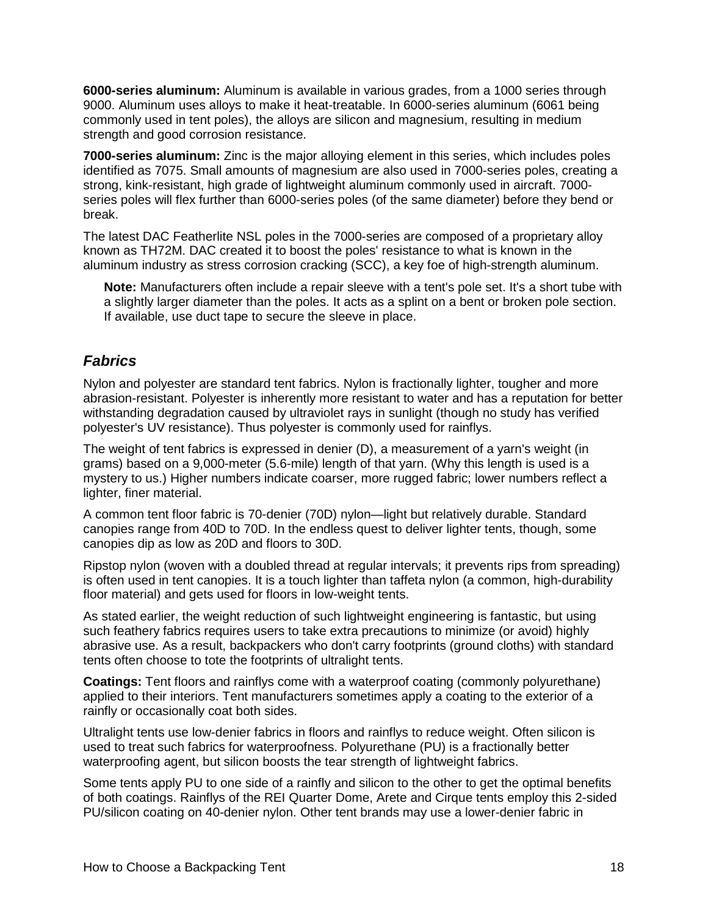**6000-series aluminum:** Aluminum is available in various grades, from a 1000 series through 9000. Aluminum uses alloys to make it heat-treatable. In 6000-series aluminum (6061 being commonly used in tent poles), the alloys are silicon and magnesium, resulting in medium strength and good corrosion resistance.

**7000-series aluminum:** Zinc is the major alloying element in this series, which includes poles identified as 7075. Small amounts of magnesium are also used in 7000-series poles, creating a strong, kink-resistant, high grade of lightweight aluminum commonly used in aircraft. 7000 series poles will flex further than 6000-series poles (of the same diameter) before they bend or break.

The latest DAC Featherlite NSL poles in the 7000-series are composed of a proprietary alloy known as TH72M. DAC created it to boost the poles' resistance to what is known in the aluminum industry as stress corrosion cracking (SCC), a key foe of high-strength aluminum.

**Note:** Manufacturers often include a repair sleeve with a tent's pole set. It's a short tube with a slightly larger diameter than the poles. It acts as a splint on a bent or broken pole section. If available, use duct tape to secure the sleeve in place.

### *Fabrics*

Nylon and polyester are standard tent fabrics. Nylon is fractionally lighter, tougher and more abrasion-resistant. Polyester is inherently more resistant to water and has a reputation for better withstanding degradation caused by ultraviolet rays in sunlight (though no study has verified polyester's UV resistance). Thus polyester is commonly used for rainflys.

The weight of tent fabrics is expressed in denier (D), a measurement of a yarn's weight (in grams) based on a 9,000-meter (5.6-mile) length of that yarn. (Why this length is used is a mystery to us.) Higher numbers indicate coarser, more rugged fabric; lower numbers reflect a lighter, finer material.

A common tent floor fabric is 70-denier (70D) nylon—light but relatively durable. Standard canopies range from 40D to 70D. In the endless quest to deliver lighter tents, though, some canopies dip as low as 20D and floors to 30D.

Ripstop nylon (woven with a doubled thread at regular intervals; it prevents rips from spreading) is often used in tent canopies. It is a touch lighter than taffeta nylon (a common, high-durability floor material) and gets used for floors in low-weight tents.

As stated earlier, the weight reduction of such lightweight engineering is fantastic, but using such feathery fabrics requires users to take extra precautions to minimize (or avoid) highly abrasive use. As a result, backpackers who don't carry footprints (ground cloths) with standard tents often choose to tote the footprints of ultralight tents.

**Coatings:** Tent floors and rainflys come with a waterproof coating (commonly polyurethane) applied to their interiors. Tent manufacturers sometimes apply a coating to the exterior of a rainfly or occasionally coat both sides.

Ultralight tents use low-denier fabrics in floors and rainflys to reduce weight. Often silicon is used to treat such fabrics for waterproofness. Polyurethane (PU) is a fractionally better waterproofing agent, but silicon boosts the tear strength of lightweight fabrics.

Some tents apply PU to one side of a rainfly and silicon to the other to get the optimal benefits of both coatings. Rainflys of the REI Quarter Dome, Arete and Cirque tents employ this 2-sided PU/silicon coating on 40-denier nylon. Other tent brands may use a lower-denier fabric in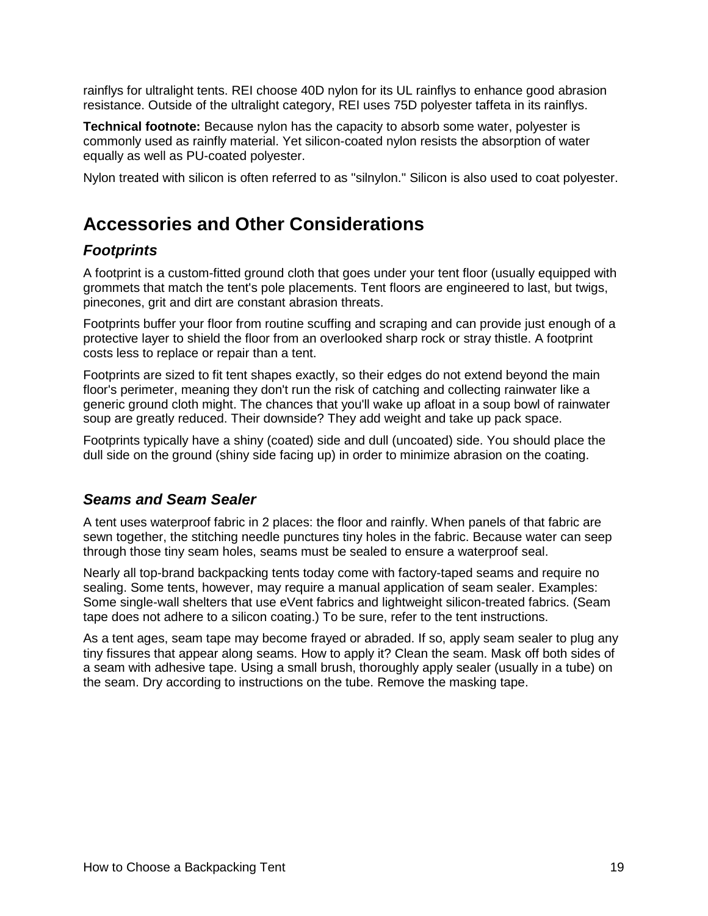rainflys for ultralight tents. REI choose 40D nylon for its UL rainflys to enhance good abrasion resistance. Outside of the ultralight category, REI uses 75D polyester taffeta in its rainflys.

**Technical footnote:** Because nylon has the capacity to absorb some water, polyester is commonly used as rainfly material. Yet silicon-coated nylon resists the absorption of water equally as well as PU-coated polyester.

Nylon treated with silicon is often referred to as "silnylon." Silicon is also used to coat polyester.

## **Accessories and Other Considerations**

### *Footprints*

A footprint is a custom-fitted ground cloth that goes under your tent floor (usually equipped with grommets that match the tent's pole placements. Tent floors are engineered to last, but twigs, pinecones, grit and dirt are constant abrasion threats.

Footprints buffer your floor from routine scuffing and scraping and can provide just enough of a protective layer to shield the floor from an overlooked sharp rock or stray thistle. A footprint costs less to replace or repair than a tent.

Footprints are sized to fit tent shapes exactly, so their edges do not extend beyond the main floor's perimeter, meaning they don't run the risk of catching and collecting rainwater like a generic ground cloth might. The chances that you'll wake up afloat in a soup bowl of rainwater soup are greatly reduced. Their downside? They add weight and take up pack space.

Footprints typically have a shiny (coated) side and dull (uncoated) side. You should place the dull side on the ground (shiny side facing up) in order to minimize abrasion on the coating.

### *Seams and Seam Sealer*

A tent uses waterproof fabric in 2 places: the floor and rainfly. When panels of that fabric are sewn together, the stitching needle punctures tiny holes in the fabric. Because water can seep through those tiny seam holes, seams must be sealed to ensure a waterproof seal.

Nearly all top-brand backpacking tents today come with factory-taped seams and require no sealing. Some tents, however, may require a manual application of seam sealer. Examples: Some single-wall shelters that use eVent fabrics and lightweight silicon-treated fabrics. (Seam tape does not adhere to a silicon coating.) To be sure, refer to the tent instructions.

As a tent ages, seam tape may become frayed or abraded. If so, apply seam sealer to plug any tiny fissures that appear along seams. How to apply it? Clean the seam. Mask off both sides of a seam with adhesive tape. Using a small brush, thoroughly apply sealer (usually in a tube) on the seam. Dry according to instructions on the tube. Remove the masking tape.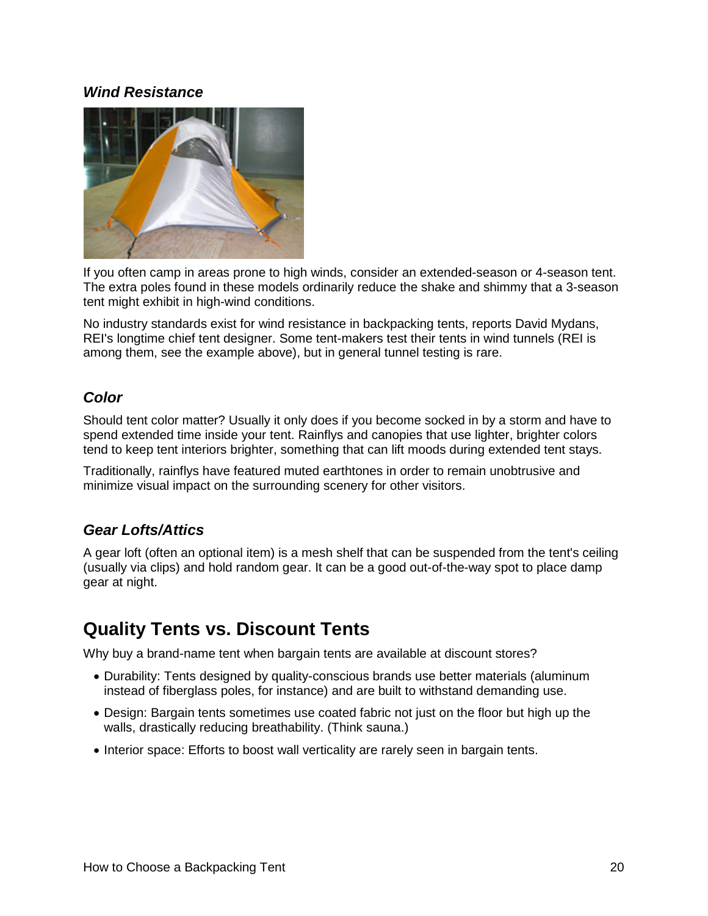#### *Wind Resistance*



If you often camp in areas prone to high winds, consider an extended-season or 4-season tent. The extra poles found in these models ordinarily reduce the shake and shimmy that a 3-season tent might exhibit in high-wind conditions.

No industry standards exist for wind resistance in backpacking tents, reports David Mydans, REI's longtime chief tent designer. Some tent-makers test their tents in wind tunnels (REI is among them, see the example above), but in general tunnel testing is rare.

### *Color*

Should tent color matter? Usually it only does if you become socked in by a storm and have to spend extended time inside your tent. Rainflys and canopies that use lighter, brighter colors tend to keep tent interiors brighter, something that can lift moods during extended tent stays.

Traditionally, rainflys have featured muted earthtones in order to remain unobtrusive and minimize visual impact on the surrounding scenery for other visitors.

### *Gear Lofts/Attics*

A gear loft (often an optional item) is a mesh shelf that can be suspended from the tent's ceiling (usually via clips) and hold random gear. It can be a good out-of-the-way spot to place damp gear at night.

### **Quality Tents vs. Discount Tents**

Why buy a brand-name tent when bargain tents are available at discount stores?

- Durability: Tents designed by quality-conscious brands use better materials (aluminum instead of fiberglass poles, for instance) and are built to withstand demanding use.
- Design: Bargain tents sometimes use coated fabric not just on the floor but high up the walls, drastically reducing breathability. (Think sauna.)
- Interior space: Efforts to boost wall verticality are rarely seen in bargain tents.